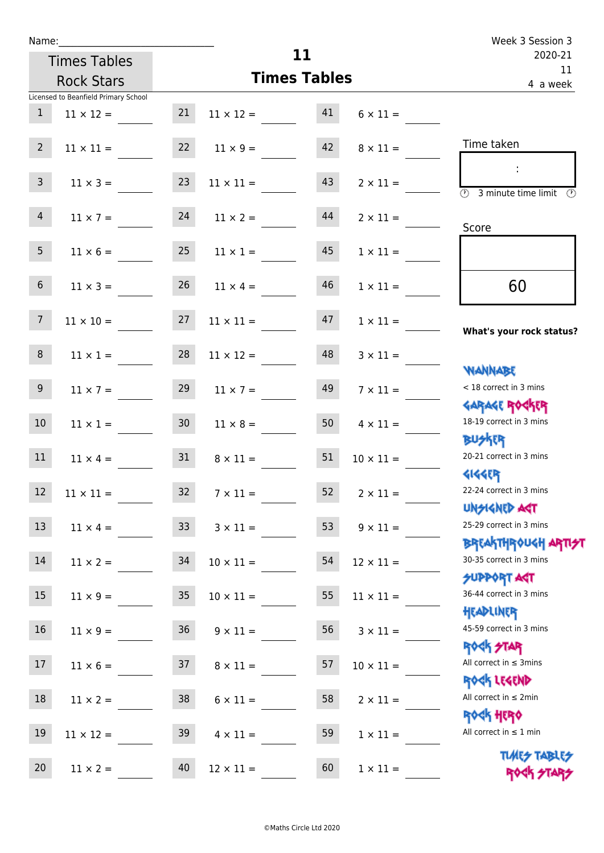|                 | Name: and the state of the state of the state of the state of the state of the state of the state of the state |                  |                                         |               |                  | Week 3 Session 3                                                 |
|-----------------|----------------------------------------------------------------------------------------------------------------|------------------|-----------------------------------------|---------------|------------------|------------------------------------------------------------------|
|                 | <b>Times Tables</b>                                                                                            |                  | 11                                      | 2020-21<br>11 |                  |                                                                  |
|                 | <b>Rock Stars</b>                                                                                              |                  | <b>Times Tables</b>                     | 4 a week      |                  |                                                                  |
|                 | Licensed to Beanfield Primary School                                                                           |                  |                                         |               |                  |                                                                  |
| 1               |                                                                                                                |                  | $11 \times 12 = 21$ $11 \times 12 = 41$ |               | $6 \times 11 =$  |                                                                  |
| 2 <sup>7</sup>  | $11 \times 11 =$                                                                                               |                  | $22 \t 11 \times 9 =$                   | 42            | $8 \times 11 =$  | Time taken                                                       |
| $\mathsf{3}$    | $11 \times 3 =$                                                                                                | 23               | $11 \times 11 =$                        | 43            | $2 \times 11 =$  | $\circled{2}$ 3 minute time limit $\circled{2}$                  |
| 4               | $11 \times 7 = 24$                                                                                             |                  | $11 \times 2 =$                         | 44            | $2 \times 11 =$  | Score                                                            |
| 5 <sub>5</sub>  | $11 \times 6 =$                                                                                                | 25               | $11 \times 1 =$                         | 45            | $1 \times 11 =$  |                                                                  |
| 6 <sup>1</sup>  | $11 \times 3 =$                                                                                                | 26               | $11 \times 4 =$                         | 46            | $1 \times 11 =$  | 60                                                               |
| $7\overline{ }$ | $11 \times 10 = 27$                                                                                            |                  | $11 \times 11 =$                        | 47            | $1 \times 11 =$  | What's your rock status?                                         |
| 8               | $11 \times 1 =$                                                                                                | 28               | $11 \times 12 =$                        | 48            | $3 \times 11 =$  | <b>JARNARY</b>                                                   |
| 9 <sub>o</sub>  | $11 \times 7 =$                                                                                                | 29               | $11 \times 7 =$                         | 49            | $7 \times 11 =$  | < 18 correct in 3 mins<br><b>GARAGE ROGKER</b>                   |
| 10 <sup>1</sup> | $11 \times 1 = 30$                                                                                             |                  | $11 \times 8 =$                         | 50            | $4 \times 11 =$  | 18-19 correct in 3 mins<br><b>BUSKER</b>                         |
| 11              | $11 \times 4 = 31$                                                                                             |                  | $8 \times 11 =$                         | 51            | $10 \times 11 =$ | 20-21 correct in 3 mins<br><b>4144EP</b>                         |
| and the<br>12   | $11\times11=$                                                                                                  | 32               | $7\times11=$                            | 52            | $2 \times 11 =$  | 22-24 correct in 3 mins<br><b>UNSIGNED AGT</b>                   |
| 13              | $11 \times 4 =$                                                                                                | 33 <sup>°</sup>  | $3 \times 11 =$                         | 53            | $9 \times 11 =$  | 25-29 correct in 3 mins<br><b>BREAKTHROUGH ARTI<del>S</del>T</b> |
| 14              | $11 \times 2 =$                                                                                                | 34               | $10 \times 11 =$                        | 54            | $12 \times 11 =$ | 30-35 correct in 3 mins<br><b>SUPPORT AGT</b>                    |
| 15              | $11 \times 9 =$                                                                                                | $35\phantom{.0}$ | $10 \times 11 =$                        | 55            | $11 \times 11 =$ | 36-44 correct in 3 mins<br>HEADLINER                             |
| 16              | $11 \times 9 =$                                                                                                | 36               | $9 \times 11 =$                         | 56            | $3 \times 11 =$  | 45-59 correct in 3 mins<br>ROCK STAR                             |
| 17              | $11 \times 6 =$                                                                                                | 37               | $8 \times 11 =$                         | 57            | $10 \times 11 =$ | All correct in $\leq$ 3mins<br>ROCK LEGEND                       |
| 18              | $11 \times 2 =$                                                                                                | 38               | $6 \times 11 =$                         | 58            | $2 \times 11 =$  | All correct in $\leq 2$ min<br><b>ROCK HERO</b>                  |
| 19              | $11 \times 12 =$                                                                                               | 39               | $4 \times 11 =$                         | 59            | $1 \times 11 =$  | All correct in $\leq 1$ min                                      |
| 20              | $11 \times 2 =$                                                                                                | 40               | $12 \times 11 =$                        | 60            | $1 \times 11 =$  | <b>TUARS TABLES</b><br>ROCK STARS                                |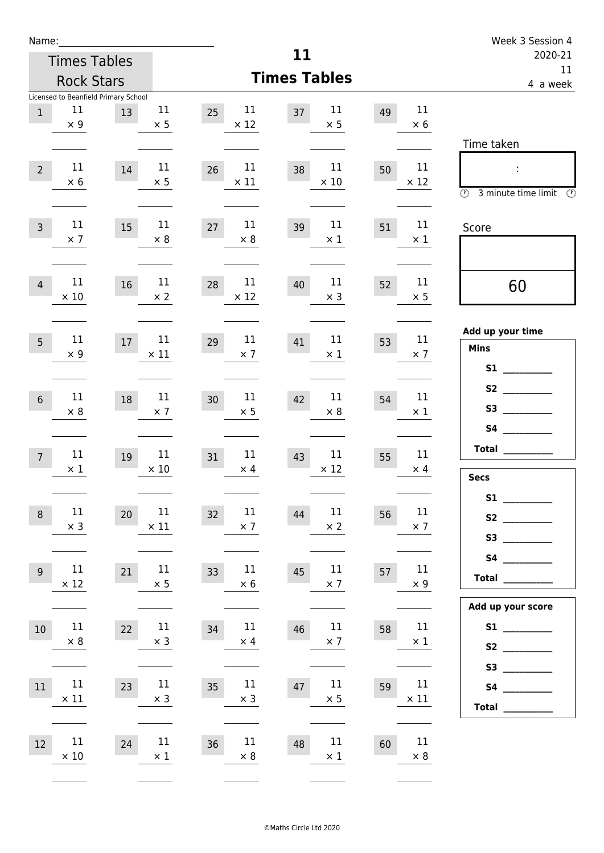| Name:          |                                                          |    |                       |                            |                            |    |                   | Week 3 Session 4                                                                 |
|----------------|----------------------------------------------------------|----|-----------------------|----------------------------|----------------------------|----|-------------------|----------------------------------------------------------------------------------|
|                | <b>Times Tables</b>                                      |    |                       |                            | 11                         |    |                   | 2020-21<br>11                                                                    |
|                | <b>Rock Stars</b>                                        |    |                       |                            | <b>Times Tables</b>        |    |                   | 4 a week                                                                         |
| $\mathbf{1}$   | Licensed to Beanfield Primary School<br>11<br>$\times$ 9 | 13 | $11\,$<br>$\times$ 5  | 11<br>25<br>$\times$ 12    | 11<br>37<br>$\times$ 5     | 49 | 11<br>$\times$ 6  |                                                                                  |
| $\overline{2}$ | 11<br>$\times$ 6                                         | 14 | 11<br>$\times$ 5      | 11<br>26<br>$\times$ 11    | 11<br>38<br>$\times$ 10    | 50 | 11<br>$\times$ 12 | Time taken<br>$\ddot{\phantom{a}}$<br>$\circled{r}$<br>3 minute time limit<br>(F |
| $\overline{3}$ | 11<br>$\times$ 7                                         | 15 | 11<br>$\times 8$      | 11<br>27<br>$\times$ 8     | 11<br>39<br>$\times$ 1     | 51 | 11<br>$\times 1$  | Score                                                                            |
| $\overline{4}$ | 11<br>$\times$ 10                                        | 16 | 11<br>$\times$ 2      | 11<br>28<br>$\times$ 12    | 11<br>40<br>$\times$ 3     | 52 | 11<br>$\times$ 5  | 60                                                                               |
| 5              | 11<br>$\times$ 9                                         | 17 | $11\,$<br>$\times$ 11 | $11\,$<br>29<br>$\times$ 7 | 11<br>41<br>$\times$ 1     | 53 | 11<br>$\times$ 7  | Add up your time<br><b>Mins</b><br>S1                                            |
| $6\,$          | 11<br>$\times 8$                                         | 18 | 11<br>$\times$ 7      | $11\,$<br>30<br>$\times$ 5 | $11\,$<br>42<br>$\times 8$ | 54 | 11<br>$\times 1$  | <b>S4</b><br><b>Contract Contract</b>                                            |
| $\overline{7}$ | 11<br>$\times$ 1                                         | 19 | 11<br>$\times$ 10     | 11<br>31<br>$\times$ 4     | 11<br>43<br>$\times$ 12    | 55 | 11<br>$\times$ 4  | <b>Total</b><br><b>Secs</b>                                                      |
| $\,8\,$        | 11<br>$\times$ 3                                         | 20 | 11<br>$\times$ 11     | $11\,$<br>32<br>$\times$ 7 | $11\,$<br>44<br>$\times$ 2 | 56 | 11<br>$\times$ 7  | S2                                                                               |
| $9$            | 11<br>$\times$ 12                                        | 21 | $11\,$<br>$\times$ 5  | $11\,$<br>33<br>$\times$ 6 | 11<br>45<br>$\times$ 7     | 57 | 11<br>$\times$ 9  | <b>Total</b>                                                                     |
| 10             | 11<br>$\times$ 8                                         | 22 | 11<br>$\times$ 3      | $11\,$<br>34<br>$\times$ 4 | 11<br>46<br>$\times$ 7     | 58 | 11<br>$\times$ 1  | Add up your score                                                                |
| 11             | $11\,$<br>$\times$ 11                                    | 23 | 11<br>$\times$ 3      | $11\,$<br>35<br>$\times$ 3 | 11<br>47<br>$\times$ 5     | 59 | 11<br>$\times$ 11 | S3<br>$\begin{tabular}{c} Total \end{tabular}$                                   |
| 12             | 11<br>$\times 10$                                        | 24 | 11<br>$\times$ 1      | $11\,$<br>36<br>$\times$ 8 | 11<br>48<br>$\times$ 1     | 60 | 11<br>$\times$ 8  |                                                                                  |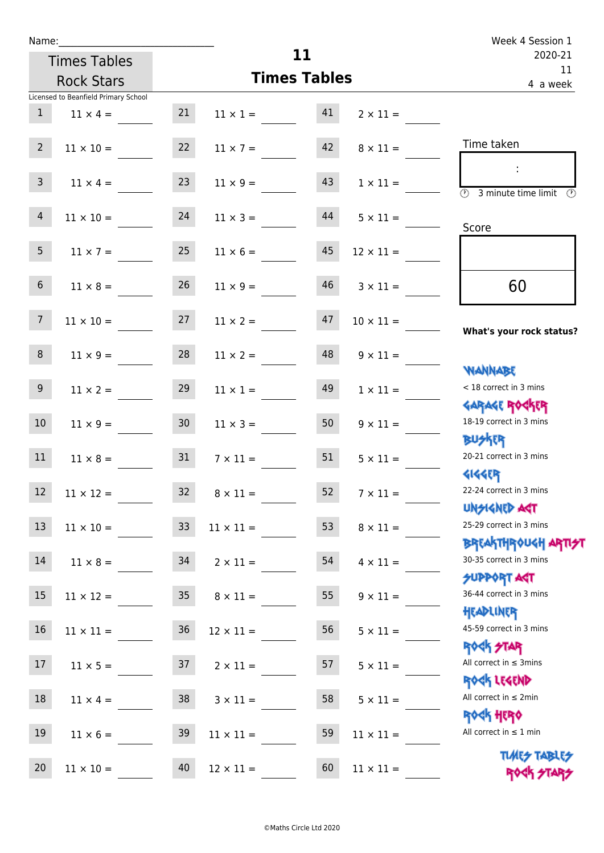| Week 4 Session 1                                 |                  |                     |                 |    |                                      | Name:          |
|--------------------------------------------------|------------------|---------------------|-----------------|----|--------------------------------------|----------------|
| 2020-21                                          |                  | 11                  |                 |    | <b>Times Tables</b>                  |                |
| 11<br>4 a week                                   |                  | <b>Times Tables</b> |                 |    | <b>Rock Stars</b>                    |                |
|                                                  |                  |                     |                 |    | Licensed to Beanfield Primary School |                |
|                                                  | $2 \times 11 =$  | 41                  | $11 \times 1 =$ | 21 | $11 \times 4 =$                      | 1              |
| Time taken                                       | $8 \times 11 =$  | 42                  | $11 \times 7 =$ | 22 | $11 \times 10 =$                     | $\overline{2}$ |
| ÷<br>3 minute time limit<br>$\circledcirc$<br>P) | $1 \times 11 =$  | 43                  | $11 \times 9 =$ | 23 | $11 \times 4 =$                      | 3              |
| Score                                            | $5 \times 11 =$  | 44                  | $11 \times 3 =$ | 24 | $11 \times 10 =$                     | 4              |
|                                                  | $12 \times 11 =$ | 45                  | $11 \times 6 =$ | 25 | $11 \times 7 =$                      | 5              |
| 60                                               | $3 \times 11 =$  | 46                  | $11 \times 9 =$ | 26 | $11 \times 8 =$                      | $6\phantom{1}$ |

## **What's** cock status?

| $<$ 18 correct in 3 mins |  |  |  |  |  |
|--------------------------|--|--|--|--|--|
| <b>GARAGE ROCKER</b>     |  |  |  |  |  |
| 18-19 correct in 3 mins  |  |  |  |  |  |
| <b>BUSKRR</b>            |  |  |  |  |  |
| 20-21 correct in 3 mins  |  |  |  |  |  |
| <b>4144EP</b>            |  |  |  |  |  |
| 22-24 correct in 3 mins  |  |  |  |  |  |
| <b>UNSIGNED AGT</b>      |  |  |  |  |  |
| 25-29 correct in 3 mins  |  |  |  |  |  |

## u<mark>gh arti<del>s</del>t</mark>

3 mins

## $\overline{\P}$ 3 mins

3 mins

 $min<sub>s</sub>$ 

 $min$ 

min

**TABLES K STARS** 

|                                                | $1 \times 11 =$  | 43 | $11 \times 9 =$  | 23              | $11 \times 4 =$  | $\overline{3}$  |
|------------------------------------------------|------------------|----|------------------|-----------------|------------------|-----------------|
| $\overline{\circlearrowright}$<br>3 minute tim |                  |    |                  |                 |                  |                 |
|                                                | $5 \times 11 =$  | 44 | $11 \times 3 =$  | 24              | $11 \times 10 =$ | $\overline{4}$  |
| Score                                          |                  |    |                  |                 |                  |                 |
|                                                | $12 \times 11 =$ | 45 | $11 \times 6 =$  | 25              | $11 \times 7 =$  | 5 <sub>1</sub>  |
| 60                                             | $3 \times 11 =$  | 46 | $11 \times 9 =$  | 26              | $11 \times 8 =$  | 6               |
|                                                | $10 \times 11 =$ | 47 | $11 \times 2 =$  | 27              | $11 \times 10 =$ | 7 <sup>7</sup>  |
| What's your ro                                 |                  |    |                  |                 |                  |                 |
| <b>JAANABE</b>                                 | $9 \times 11 =$  | 48 | $11 \times 2 =$  | 28              | $11 \times 9 =$  | 8 <sup>°</sup>  |
| < 18 correct in 3 r                            | $1 \times 11 =$  | 49 | $11 \times 1 =$  | 29              | $11 \times 2 =$  | 9 <sub>o</sub>  |
| <b>GARAGE ROG</b>                              |                  |    |                  |                 |                  |                 |
| 18-19 correct in 3                             | $9 \times 11 =$  | 50 | $11 \times 3 =$  | 30 <sub>o</sub> | $11 \times 9 =$  | 10 <sup>°</sup> |
| <b>BUSKR</b>                                   |                  |    |                  |                 |                  |                 |
| 20-21 correct in 3                             | $5 \times 11 =$  | 51 | $7 \times 11 =$  | 31              | $11 \times 8 =$  | 11              |
| <b>4144ER</b><br>22-24 correct in 3            |                  |    |                  |                 |                  |                 |
| <b>UNSIGNED AS</b>                             | $7 \times 11 =$  | 52 | $8 \times 11 =$  | 32 <sub>2</sub> | $11 \times 12 =$ | 12              |
| 25-29 correct in 3                             | $8 \times 11 =$  | 53 | $11 \times 11 =$ | 33 <sup>°</sup> | $11 \times 10 =$ | 13              |
| <b>BREAKTHROU</b>                              |                  |    |                  |                 |                  |                 |
| 30-35 correct in 3                             | $4 \times 11 =$  | 54 | $2 \times 11 =$  | 34              | $11 \times 8 =$  | 14              |
| <b>SUPPORT AG</b>                              |                  |    |                  |                 |                  |                 |
| 36-44 correct in 3                             | $9 \times 11 =$  | 55 | $8 \times 11 =$  | 35 <sub>2</sub> | $11 \times 12 =$ | 15              |
| HEADLINER                                      |                  |    |                  |                 |                  |                 |
| 45-59 correct in 3<br>ROCK STAR                | $5 \times 11 =$  | 56 | $12 \times 11 =$ | 36              | $11 \times 11 =$ | 16              |
| All correct in $\leq 3$ m                      | $5 \times 11 =$  | 57 | $2 \times 11 =$  | 37              | $11 \times 5 =$  | 17              |
| ROCK LEGEND                                    |                  |    |                  |                 |                  |                 |
| All correct in $\leq 2m$                       | $5 \times 11 =$  | 58 | $3 \times 11 =$  | 38              | $11 \times 4 =$  | 18              |
| <b>ROCK HERO</b>                               |                  |    |                  |                 |                  |                 |
| All correct in $\leq 1$ r                      | $11 \times 11 =$ | 59 | $11 \times 11 =$ | 39              | $11 \times 6 =$  | 19              |
| <b>TLARS</b>                                   |                  |    |                  |                 |                  |                 |
| <b>ROGI</b>                                    | $11 \times 11 =$ | 60 | $12 \times 11 =$ | 40              | $11 \times 10 =$ | 20              |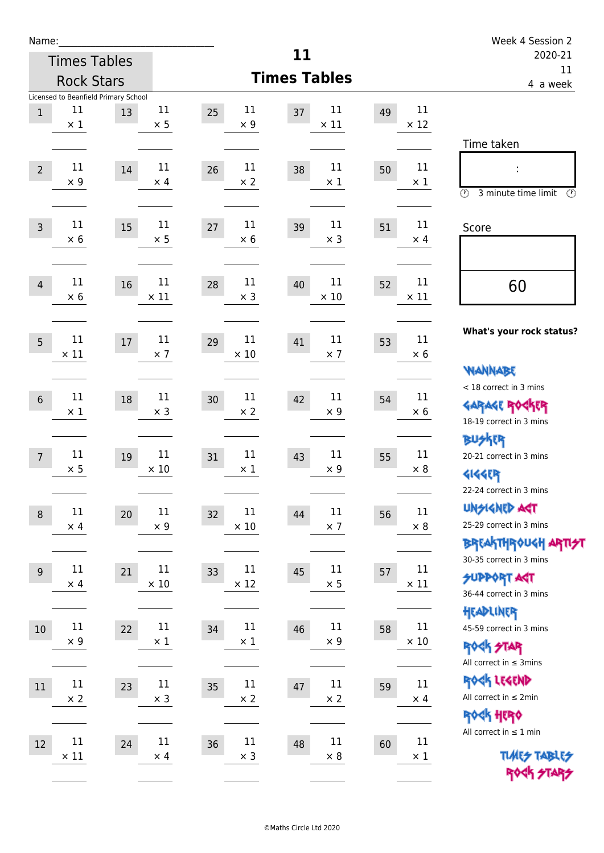| Name:          |                       |                                            |                      |                             |                            |               | Week 4 Session 2                                                                                                |
|----------------|-----------------------|--------------------------------------------|----------------------|-----------------------------|----------------------------|---------------|-----------------------------------------------------------------------------------------------------------------|
|                | <b>Times Tables</b>   |                                            |                      |                             | 11                         | 2020-21<br>11 |                                                                                                                 |
|                | <b>Rock Stars</b>     |                                            |                      |                             | <b>Times Tables</b>        |               | 4 a week                                                                                                        |
| $\mathbf{1}$   | 11<br>$\times$ 1      | Licensed to Beanfield Primary School<br>13 | 11<br>$\times$ 5     | 11<br>25<br>$\times$ 9      | 11<br>37<br>$\times$ 11    | 49            | 11<br>$\times$ 12<br>Time taken                                                                                 |
| $\overline{2}$ | 11<br>$\times$ 9      | 14                                         | 11<br>$\times$ 4     | 11<br>26<br>$\times 2$      | 11<br>38<br>$\times$ 1     | 50            | 11<br>$\times$ 1<br>$\circled{r}$<br>3 minute time limit<br>$\mathcal{O}$                                       |
| $\overline{3}$ | 11<br>$\times$ 6      | 15                                         | 11<br>$\times 5$     | 11<br>27<br>$\times$ 6      | 11<br>39<br>$\times$ 3     | 51            | 11<br>Score<br>$\times$ 4                                                                                       |
| $\overline{4}$ | 11<br>$\times$ 6      | 16                                         | 11<br>$\times$ 11    | 11<br>28<br>$\times$ 3      | 11<br>40<br>$\times$ 10    | 52            | 11<br>60<br>$\times$ 11                                                                                         |
| 5              | $11\,$<br>$\times$ 11 | 17                                         | 11<br>$\times$ 7     | $11\,$<br>29<br>$\times$ 10 | 11<br>41<br>$\times$ 7     | 53            | What's your rock status?<br>11<br>$\times$ 6<br><b>NANNABE</b>                                                  |
| $6\,$          | 11<br>$\times$ 1      | 18                                         | 11<br>$\times$ 3     | 11<br>30<br>$\times 2$      | 11<br>42<br>$\times$ 9     | 54            | < 18 correct in 3 mins<br>11<br><b>GARAGE ROCKER</b><br>$\times 6$<br>18-19 correct in 3 mins<br><b>BUSKER</b>  |
| $\overline{7}$ | 11<br>$\times$ 5      | 19                                         | 11<br>$\times$ 10    | 11<br>31<br>$\times$ 1      | 11<br>43<br>$\times$ 9     | 55            | 11<br>20-21 correct in 3 mins<br>$\times$ 8<br><b>4144EP</b><br>22-24 correct in 3 mins                         |
| $\,8\,$        | $11\,$<br>$\times$ 4  | $20\,$                                     | 11<br>$\times$ 9     | $11\,$<br>32<br>$\times$ 10 | 11<br>44<br>$\times$ 7     | 56            | <b>UNSIGNED AGT</b><br>$11\,$<br>25-29 correct in 3 mins<br>$\times$ 8<br><b>BREAKTHROUGH ARTI<del>S</del>T</b> |
| $9\,$          | 11<br>$\times$ 4      | 21                                         | 11<br>$\times$ 10    | $11\,$<br>33<br>$\times$ 12 | $11\,$<br>45<br>$\times$ 5 | 57            | 30-35 correct in 3 mins<br>$11\,$<br><b>SUPPORT AGT</b><br>$\times$ 11<br>36-44 correct in 3 mins<br>HEADLINER  |
| $10\,$         | $11\,$<br>$\times$ 9  | 22                                         | $11\,$<br>$\times$ 1 | $11\,$<br>34<br>$\times$ 1  | 11<br>46<br>$\times$ 9     | 58            | 11<br>45-59 correct in 3 mins<br>$\times$ 10<br><b>ROCK STAR</b><br>All correct in $\leq$ 3mins                 |
| $11\,$         | $11\,$<br>$\times 2$  | 23                                         | $11\,$<br>$\times$ 3 | 11<br>35<br>$\times$ 2      | $11\,$<br>47<br>$\times 2$ | 59            | ROCK LEGEND<br>$11\,$<br>All correct in $\leq 2$ min<br>$\times$ 4<br>ROCK HERO                                 |
| 12             | $11\,$<br>$\times$ 11 | 24                                         | 11<br>$\times$ 4     | $11\,$<br>36<br>$\times$ 3  | 11<br>48<br>$\times 8$     | 60            | All correct in $\leq 1$ min<br>11<br><b>TUARS TABLES</b><br>$\times$ 1<br>ROCK STARS                            |